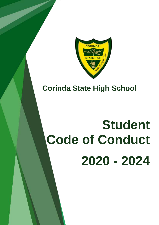

# **Corinda State High School**

# **Student Code of Conduct 2020 - 2024**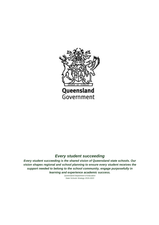

### *Every student succeeding*

*Every student succeeding is the shared vision of Queensland state schools. Our vision shapes regional and school planning to ensure every student receives the support needed to belong to the school community, engage purposefully in learning and experience academic success.*

> *Queensland Department of Education State Schools Strategy 2019-2023*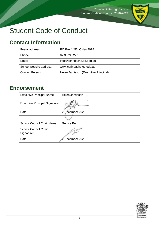

# Student Code of Conduct

# <span id="page-2-0"></span>**Contact Information**

| Postal address:         | PO Box 1453, Oxley 4075              |
|-------------------------|--------------------------------------|
| Phone:                  | 07 3379 0222                         |
| Email:                  | info@corindashs.eq.edu.au            |
| School website address: | www.corindashs.eq.edu.au             |
| <b>Contact Person:</b>  | Helen Jamieson (Executive Principal) |

# <span id="page-2-1"></span>**Endorsement**

| <b>Executive Principal Name:</b>      | Helen Jamieson  |
|---------------------------------------|-----------------|
| <b>Executive Principal Signature:</b> | ä.              |
| Date:                                 | 2 December 2020 |
|                                       |                 |
| <b>School Council Chair Name:</b>     | Genise Benz     |
| <b>School Council Chair</b>           |                 |
| Signature:                            |                 |
| Date:                                 | December 2020   |

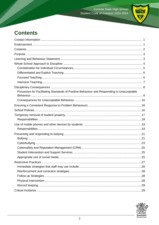

# <span id="page-3-0"></span>**Contents**

| Processes for Facilitating Standards of Positive Behaviour and Responding to Unacceptable |     |
|-------------------------------------------------------------------------------------------|-----|
|                                                                                           |     |
|                                                                                           |     |
|                                                                                           |     |
|                                                                                           |     |
|                                                                                           |     |
|                                                                                           |     |
|                                                                                           |     |
|                                                                                           |     |
|                                                                                           |     |
|                                                                                           |     |
|                                                                                           |     |
|                                                                                           |     |
|                                                                                           |     |
|                                                                                           | .25 |
|                                                                                           |     |
|                                                                                           |     |
|                                                                                           |     |
|                                                                                           |     |
|                                                                                           |     |
|                                                                                           |     |
|                                                                                           |     |

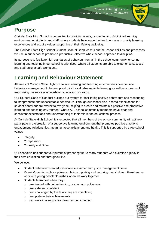

# <span id="page-4-0"></span>**Purpose**

Corinda State High School is committed to providing a safe, respectful and disciplined learning environment for students and staff, where students have opportunities to engage in quality learning experiences and acquire values supportive of their lifelong wellbeing.

The Corinda State High School Student Code of Conduct sets out the responsibilities and processes we use in our school to promote a productive, effective whole school approach to discipline.

Its purpose is to facilitate high standards of behaviour from all in the school community, ensuring learning and teaching in our school is prioritised, where all students are able to experience success and staff enjoy a safe workplace.

# <span id="page-4-1"></span>**Learning and Behaviour Statement**

All areas of Corinda State High School are learning and teaching environments. We consider behaviour management to be an opportunity for valuable sociable learning as well as a means of maximising the success of academic education programs.

Our Student Code of Conduct outlines our system for facilitating positive behaviours and responding to inappropriate and unacceptable behaviours. Through our school plan, shared expectations for student behaviour are explicit to everyone, helping to create and maintain a positive and productive learning and teaching environment, where ALL school community members have clear and consistent expectations and understanding of their role in the educational process.

At Corinda State High School, it is expected that all members of the school community will actively participate in the creation of a supportive learning environment that promotes positive emotions, engagement, relationships, meaning, accomplishment and health. This is supported by three school values:

- **Integrity**
- Compassion
- Curiosity and Drive.

Our school values support our pursuit of preparing future ready students who exercise agency in their own education and throughout life.

We believe:

- Student behaviour is an educational issue rather than just a management issue
- Parents/guardians play a primary role in supporting and nurturing their children, therefore our work with young people flourishes when we work together
- Students learn best when they:
	- o are treated with understanding, respect and politeness
	- o feel safe and confident
	- o feel challenged by the tasks they are completing
	- o feel pride in their achievements
	- o can work in a supportive classroom environment

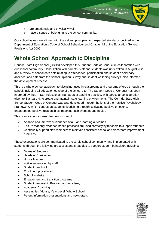

- o are emotionally and physically well
- o have a sense of belonging to the school community.

Our school values are aligned with the values, principles and expected standards outlined in the Department of Education's Code of School Behaviour and Chapter 12 of the Education General Provisions Act 2006.

# <span id="page-5-0"></span>**Whole School Approach to Discipline**

Corinda State High School (CSHS) developed this Student Code of Conduct in collaboration with our school community. Consultation with parents, staff and students was undertaken in August 2020 and a review of school data sets relating to attendance, participation and student disciplinary absence, and data from the School Opinion Survey and student wellbeing surveys, also informed the development process.

This is a whole-school approach to discipline, used in classrooms and programs offered through the school, including all education outside of the school site. The Student Code of Conduct has been informed by the AITSL Professional Standards of teaching practice, with particular consideration given to Standard 4, to create and maintain safe learning environments. The Corinda State High School Student Code of Conduct was also developed through the lens of the Positive Psychology Framework, which centres on students flourishing through cultivating positive emotions, engagement, positive relationships, meaning, achievement and health.

This is an evidence-based framework used to:

- Analyse and improve student behaviour and learning outcomes
- Ensure that only evidence-based practices are used correctly by teachers to support students
- Continually support staff members to maintain consistent school and classroom improvement practices.

These expectations are communicated to the whole school community, and implemented with students through the following processes and strategies to support student behaviour, including:

- Deans of Students
- Heads of Curriculum
- House Masters
- Active supervision by staff
- Student handbook
- Enrolment procedures
- School Website
- Engagement and transition programs
- Student Leadership Program and Academy
- Academic Coaching
- Assemblies (House, Year Level, Whole School)
- Parent Information presentations and newsletters.

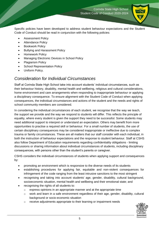

Specific policies have been developed to address student behaviour expectations and the Student Code of Conduct should be read in conjunction with the following policies:

- **•** Assessment Policy
- Attendance Policy
- Bookwork Policy
- Bullying and Harassment Policy
- Homework Policy
- Managing Electronic Devices in School Policy
- Plagiarism Policy
- School Representation Policy
- Uniform Policy.

### <span id="page-6-0"></span>*Consideration for Individual Circumstances*

Staff at Corinda State High School take into account students' individual circumstances, such as their behaviour history, disability, mental health and wellbeing, religious and cultural considerations, home environment and care arrangements when responding to inappropriate behaviour or applying a disciplinary consequence. To ensure alignment with the Student Code of Conduct when applying consequences, the individual circumstances and actions of the student and the needs and rights of school community members are considered.

In considering the individual circumstances of each student, we recognise that the way we teach, the support we provide and the way we respond to students will differ. This reflects the principle of equality, where every student is given the support they need to be successful. Some students may need additional support to interpret or understand an expectation. Others may benefit from more opportunities to practise a required skill or behaviour. For a small number of students, the use of certain disciplinary consequences may be considered inappropriate or ineffective due to complex trauma or family circumstances. These are all matters that our staff consider with each individual, in both the instruction of behaviour expectations and the response to student behaviour. Staff at CSHS also follow Department of Education requirements regarding confidentiality obligations - limiting discussions or sharing information about individual circumstances of students, including disciplinary consequences, with persons other than the student's parents or caregiver.

CSHS considers the individual circumstances of students when applying support and consequences by:

- promoting an environment which is responsive to the diverse needs of its students
- establishing procedures for applying fair, equitable and non-violent consequences for infringement of the code ranging from the least intrusive sanctions to the most stringent
- recognising and taking into account students' age, gender, disability, cultural background, socioeconomic situation, mental health and wellbeing and their emotional state; and
- recognising the rights of all students to:
	- o express opinions in an appropriate manner and at the appropriate time
	- $\circ$  work and learn in a safe environment regardless of their age, gender, disability, cultural background or socio-economic situation
	- o receive adjustments appropriate to their learning or impairment needs

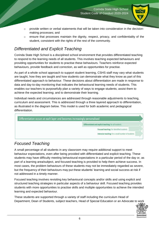

- $\circ$  provide written or verbal statements that will be taken into consideration in the decisionmaking processes; and
- $\circ$  ensure that processes maintain the dignity, respect, privacy, and confidentiality of the student, consistent with the rights of the rest of the community.

### <span id="page-7-0"></span>*Differentiated and Explicit Teaching*

Corinda State High School is a disciplined school environment that provides differentiated teaching to respond to the learning needs of all students. This involves teaching expected behaviours and providing opportunities for students to practise these behaviours. Teachers reinforce expected behaviours, provide feedback and correction, as well as opportunities for practise.

As part of a whole school approach to support student learning, CSHS staff may vary what students are taught, how they are taught and how students can demonstrate what they know as part of this differentiated approach to behaviour. These decisions about differentiation are made in response to data and day-to-day monitoring that indicates the behavioural learning needs of students. This enables our teachers to purposefully plan a variety of ways to engage students; assist them to achieve the expected learning; and to demonstrate their learning.

Individual needs and circumstances are addressed through reasonable adjustments to teaching, curriculum and assessment. This is addressed through a three layered approach to differentiation, as illustrated in the diagram below. This model is used for both academic and pedagogical differentiation.



### <span id="page-7-1"></span>*Focused Teaching*

A small percentage of all students in any classroom may require additional support to meet behaviour expectations, even after being provided with differentiated and explicit teaching. These students may have difficulty meeting behavioural expectations in a particular period of the day or, as part of a learning area/subject, and focused teaching is provided to help them achieve success. In most cases, the problem behaviours of these students may not be immediately regarded as severe, but the frequency of their behaviours may put these students' learning and social success at risk if not addressed in a timely manner.

Focused teaching involves revisiting key behavioural concepts and/or skills and using explicit and structured teaching strategies in particular aspects of a behaviour skill. Focused teaching provides students with more opportunities to practise skills and multiple opportunities to achieve the intended learning and expected behaviour.

These students are supported through a variety of staff including the curriculum Head of Department, Dean of Students, subject teachers, Head of Special Education or an Advocate to work

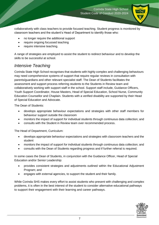

collaboratively with class teachers to provide focused teaching. Student progress is monitored by classroom teachers and the student's Head of Department to identify those who:

- no longer require the additional support
- require ongoing focussed teaching
- require intensive teaching.

A range of strategies are employed to assist the student to redirect behaviour and to develop the skills to be successful at school.

### <span id="page-8-0"></span>*Intensive Teaching*

Corinda State High School recognises that students with highly complex and challenging behaviours may need comprehensive systems of support that require regular reviews in consultation with parents/guardians and other relevant specialist staff. The Dean of Students facilitates the assessment and support process referring students to the Students in Review team and collaboratively working with support staff in the school. Support staff include, Guidance Officers, Youth Support Coordinator, House Masters, Head of Special Education, School Nurse, Community Education Counsellor and Chaplain. Students with a verified disability are supported by their Head of Special Education and Advocate.

The Dean of Students:

- develops appropriate behaviour expectations and strategies with other staff members for behaviour support outside the classroom
- monitors the impact of support for individual students through continuous data collection; and
- consults with the Student in Review team over recommended process.

The Head of Department, Curriculum:

- develops appropriate behaviour expectations and strategies with classroom teachers and the student
- monitors the impact of support for individual students through continuous data collection; and
- consults with the Dean of Students regarding progress and if further referral is required.

In some cases the Dean of Students, in conjunction with the Guidance Officer, Head of Special Education and/or Senior Leadership:

- provides consistent strategies and adjustments outlined within the Educational Adjustment Program; and
- engages with external agencies, to support the student and their family.

While Corinda SHS makes every effort to assist students who present with challenging and complex problems, it is often in the best interest of the student to consider alternative educational pathways to support their engagement with their learning and career pathways.

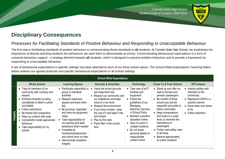

# **Disciplinary Consequences**

### *Processes for Facilitating Standards of Positive Behaviour and Responding to Unacceptable Behaviour*

The first step in facilitating standards of positive behaviour is communicating those standards to **all** students. At Corinda State High School, we emphasise the importance of directly teaching students the behaviours we want them to demonstrate at school. Communicating behavioural expectations is a form of universal behaviour support - a strategy directed towards **all** students, which is designed to prevent problem behaviour and to provide a framework for responding to unacceptable behaviour.

A set of behavioural expectations in specific settings has been attached to each of our three school values. The School Wide Expectations Teaching Matrix below outlines our agreed protocols and specific behavioural expectations in all school settings.

<span id="page-9-1"></span><span id="page-9-0"></span>

|                  |                                                                                                                                                                                                                                                                                                                                       |                                                                                                                                                                                                                                                                                                                                                                                    | <b>School Wide Expectations</b>                                                                                                                                                                                                                                                                                |                                                                                                                                                                                                                                                                                                                                   |                                                                                                                                                                                                                                                                                                                                                                               |                                                                                                                                                            |
|------------------|---------------------------------------------------------------------------------------------------------------------------------------------------------------------------------------------------------------------------------------------------------------------------------------------------------------------------------------|------------------------------------------------------------------------------------------------------------------------------------------------------------------------------------------------------------------------------------------------------------------------------------------------------------------------------------------------------------------------------------|----------------------------------------------------------------------------------------------------------------------------------------------------------------------------------------------------------------------------------------------------------------------------------------------------------------|-----------------------------------------------------------------------------------------------------------------------------------------------------------------------------------------------------------------------------------------------------------------------------------------------------------------------------------|-------------------------------------------------------------------------------------------------------------------------------------------------------------------------------------------------------------------------------------------------------------------------------------------------------------------------------------------------------------------------------|------------------------------------------------------------------------------------------------------------------------------------------------------------|
|                  | <b>Whole School</b>                                                                                                                                                                                                                                                                                                                   | <b>Learning Spaces</b>                                                                                                                                                                                                                                                                                                                                                             | <b>Grounds &amp; Amenities</b>                                                                                                                                                                                                                                                                                 | <b>Technology</b>                                                                                                                                                                                                                                                                                                                 | <b>Travel To &amp; From School</b>                                                                                                                                                                                                                                                                                                                                            | <b>Off Campus</b>                                                                                                                                          |
| <b>Integrity</b> | • Treat all members of our<br>community with courtesy and<br>respect<br>• Embrace diversity by being<br>considerate of other's culture<br>and beliefs<br>• Follow instructions<br>Be honest and cooperative<br>Wear my uniform with pride<br>• Consistently model appropriate<br>behaviour<br>• Take responsibility for my<br>actions | • Participate respectfully in<br>group or individual<br>activities<br>• Respect classroom<br>spaces and leave them<br>tidy<br>• Be punctual, organised<br>and have my equipment<br>ready<br>• Take responsibility for<br>my learning and seek<br>assistance when needed<br>• Complete all<br>homework/assessment<br>and submit work on time<br>• Demonstrate academic<br>integrity | Value the school grounds<br>and keep them tidy<br>• Respect our community and<br>our neighbours and keep<br>noise to a low level<br>• Respect the environment<br>• If you have a locker, value<br>the use of it and keep it tidy<br>and locked<br>• Play by the rules<br>• Place litter in the correct<br>bins | • Take care of all IT<br>facilities and<br>equipment<br>$\bullet$ Follow the<br>guidelines of our<br>Managing<br><b>Electronic Devices</b><br>in School Policy<br>• Maintain a positive<br>reputation online<br>Save my work in<br>multiple locations<br>• Do not share<br>personal details or<br>inappropriate<br>content online | • Stand up and offer my<br>seat to full-fare and<br>pension passengers<br>• Be mindful of those<br>around you and be<br>respectful and polite to<br>fellow commuters<br>• Keep conversations<br>and music to a quiet<br>level, to minimise the<br>disturbance of<br>passengers<br>• Follow road safety rules<br>at all times<br>• Behave appropriately<br>on public transport | Interact politely with<br>members of the<br>community<br>• Represent CSHS in a<br>positive manner<br>• Know when and where<br>to be<br>• Follow directions |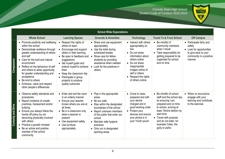Corinda State High School Student Code of Conduct 2020-2024



|                       |                                                                                                                                                                                                                                                                                                                                                                                                            |                                                                                                                                                                                                                                                                                                               | <b>School Wide Expectations</b>                                                                                                                                                                                                                                             |                                                                                                                                                                                                                                 |                                                                                                                                                                                                                                                             |                                                                                                                             |
|-----------------------|------------------------------------------------------------------------------------------------------------------------------------------------------------------------------------------------------------------------------------------------------------------------------------------------------------------------------------------------------------------------------------------------------------|---------------------------------------------------------------------------------------------------------------------------------------------------------------------------------------------------------------------------------------------------------------------------------------------------------------|-----------------------------------------------------------------------------------------------------------------------------------------------------------------------------------------------------------------------------------------------------------------------------|---------------------------------------------------------------------------------------------------------------------------------------------------------------------------------------------------------------------------------|-------------------------------------------------------------------------------------------------------------------------------------------------------------------------------------------------------------------------------------------------------------|-----------------------------------------------------------------------------------------------------------------------------|
|                       | <b>Whole School</b>                                                                                                                                                                                                                                                                                                                                                                                        | <b>Learning Spaces</b>                                                                                                                                                                                                                                                                                        | <b>Grounds &amp; Amenities</b>                                                                                                                                                                                                                                              | <b>Technology</b>                                                                                                                                                                                                               | <b>Travel To &amp; From School</b>                                                                                                                                                                                                                          | <b>Off Campus</b>                                                                                                           |
| Compassion            | • Promote positivity and wellbeing<br>within the school<br>• Demonstrate resilience through<br>greater understanding of others<br>and self<br>• Care for the built and natural<br>environment<br>• Reflect on the behaviour of self<br>and others to allow opportunity<br>for greater understanding and<br>acceptance<br>• Be kind to others<br>• Embrace, value and respect<br>other people's differences | • Respect the rights of<br>others to learn<br>• Encourage and support<br>others in their learning<br>• Be open to feedback and<br>suggestions<br>• Set myself goals and<br>extend myself to achieve<br>them<br>• Keep the classroom tidy<br>• Participate in group<br>projects to produce<br>quality outcomes | • Share and use equipment<br>appropriately<br>• Use the toilet during<br>scheduled breaks<br>• Show care for fellow<br>students by providing<br>assistance when needed<br>• Look for the positives in<br>others                                                             | • Interact with others<br>appropriately on<br>line<br>• Do not share<br>information about<br>others online<br>• Do not share<br>inappropriate<br>images online of<br>self or others<br>• Respect the rights<br>of others online | • Be mindful of<br>community members<br>when I travel<br>• Take responsibility for<br>getting prepared to be<br>organised for school<br>and on time                                                                                                         | • Participate fairly and<br>safely<br>• Look for opportunities<br>to give back to your<br>community in a positive<br>manner |
| and Driv<br>Curiosity | • Observe safety standards and<br>procedures<br>• Report incidents of unsafe<br>practices, harassment and/or<br>bullying<br>• Ensure you always follow the<br>hands off policy by not<br>becoming physically involved<br>with others<br>• Practice a growth mindset<br>• Be an active and positive<br>member of the school<br>community                                                                    | $\bullet$ Enter and exit the room<br>in an orderly manner<br>• Ensure your teacher<br>knows where you are at<br>all times<br>• Be in a classroom only<br>when a teacher is<br>present<br>• Use equipment safely<br>• Use furniture<br>appropriately                                                           | • Play in the appropriate<br>areas<br>• Be sun safe<br>• Stay within the designated<br>boundaries of the school<br>• Report unknown members<br>of the public that enter our<br>school<br>• Maintain safe hygiene<br>practices<br>• Only run in designated<br>sporting areas | • Come to class<br>prepared and with<br>your device<br>charged and in<br>good working order<br>• Protect your<br>devices and ensure<br>your phone is in<br>your Yondr pouch                                                     | • Be mindful of school<br>staff and the school day<br>by ensuring I am<br>prepared and on time<br>to school, arriving at<br>least 15mins before my<br>start time<br>• Travel with purpose<br>and do not loiter, for<br>example Coles, the<br>gully or parks | • When on excursions<br>engage with your<br>learning and contribute<br>to the exercise                                      |

r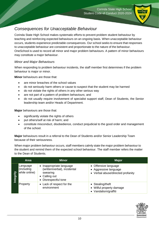### <span id="page-11-0"></span>*Consequences for Unacceptable Behaviour*

Corinda State High School makes systematic efforts to prevent problem student behaviour by teaching and reinforcing expected behaviours on an ongoing basis. When unacceptable behaviour occurs, students experience predictable consequences. Our school seeks to ensure that responses to unacceptable behaviour are consistent and proportionate to the nature of the behaviour. OneSchool is used to record all minor and major problem behaviours. A pattern of minor behaviours may constitute a major behaviour.

#### *Minor and Major Behaviours*

When responding to problem behaviour incidents, the staff member first determines if the problem behaviour is major or minor.

**Minor** behaviours are those that:

- are minor breaches of the school values
- do not seriously harm others or cause to suspect that the student may be harmed
- do not violate the rights of others in any other serious way
- are not part of a pattern of problem behaviours; and
- do not usually require involvement of specialist support staff, Dean of Students, the Senior leadership team and/or Heads of Department.

**Major** behaviours are those that:

- significantly violate the rights of others
- put others/self at risk of harm; and
- constitute misconduct, disobedience, conduct prejudicial to the good order and management of the school.

**Major** behaviours result in a referral to the Dean of Students and/or Senior Leadership Team because of their seriousness.

When major problem behaviour occurs, staff members calmly state the major problem behaviour to the student and remind them of the expected school behaviour. The staff member refers the matter to the Dean of Students.

|           | <b>Area</b>                             | <b>Minor</b>                                                                                                  | <b>Major</b>                                                                       |
|-----------|-----------------------------------------|---------------------------------------------------------------------------------------------------------------|------------------------------------------------------------------------------------|
| Integrity | Language<br>(including<br>while online) | • Inappropriate language<br>(written/verbal), incidental<br>swearing<br>• Calling out<br>• Disrespectful tone | • Offensive language<br>• Aggressive language<br>• Verbal abuse/directed profanity |
|           | Property                                | • Lack of respect for the<br>environment                                                                      | • Stealing/theft<br>• Wilful property damage<br>• Vandalism/graffiti               |

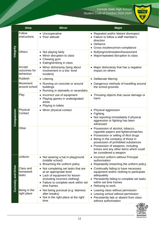

|                            | <b>Area</b>                         | <b>Minor</b>                                                                                                                                                                                          | <b>Major</b>                                                                                                                                                                                                                                                                                            |
|----------------------------|-------------------------------------|-------------------------------------------------------------------------------------------------------------------------------------------------------------------------------------------------------|---------------------------------------------------------------------------------------------------------------------------------------------------------------------------------------------------------------------------------------------------------------------------------------------------------|
| Integrity                  | Follow<br>Instructions              | • Uncooperative<br>• Poor attitude                                                                                                                                                                    | Repeated and/or blatant disrespect<br>Failure to follow a staff member's<br>direction<br>Defiance<br>$\bullet$<br>Gross insolence/non-compliance                                                                                                                                                        |
|                            | Others                              | • Not playing fairly<br>Minor disruption to class<br>Chewing gum<br>Eating/drinking in class                                                                                                          | Bullying/victimisation/harassment<br>Major/repeated disruption to class                                                                                                                                                                                                                                 |
|                            | Accept<br>outcomes for<br>behaviour | • Minor dishonesty (lying about<br>involvement in a low- level<br>incident)                                                                                                                           | Major dishonesty that has a negative<br>impact on others                                                                                                                                                                                                                                                |
|                            | <b>Rubbish</b>                      | • Littering                                                                                                                                                                                           | Deliberate littering<br>$\bullet$                                                                                                                                                                                                                                                                       |
|                            | Movement<br>around school           | • Running on concrete or around<br>buildings<br>• Running in stairwells or verandahs                                                                                                                  | Dangerous methods of travelling around<br>the school grounds                                                                                                                                                                                                                                            |
| Compassion                 | Play                                | Incorrect use of equipment<br>٠<br>Playing games in undesignated<br>areas<br>Playing in toilets<br>٠                                                                                                  | Throwing objects that cause damage or<br>harm                                                                                                                                                                                                                                                           |
|                            | Physical<br>Contact                 | Minor physical contact<br>٠                                                                                                                                                                           | Physical aggression<br>Fighting<br>Not reporting immediately if physical<br>aggression or fighting has been<br>witnessed                                                                                                                                                                                |
|                            | Other                               |                                                                                                                                                                                                       | Possession of alcohol, tobacco,<br>cigarette papers and lighters/matches<br>• Possession or selling of illicit drugs<br>Being in the company of those in<br>possession of prohibited substances<br>Possession of weapons, including<br>knives and any other items which could<br>be considered a weapon |
| <b>Curiosity and Drive</b> | Uniform                             | • Not wearing a hat in playground<br>(middle school)<br>Breaching the uniform policy<br>$\bullet$                                                                                                     | Incorrect uniform without Principal<br>authorisation<br>Repeatedly breaching the uniform policy                                                                                                                                                                                                         |
|                            | Class and<br>homework<br>tasks      | • Not completing set tasks that are<br>at an appropriate level<br>• Lack of equipment for lesson<br>(including incorrect clothing)<br>Failure to complete work within set<br>$\bullet$<br>time frames | Continually failing to have necessary<br>equipment and/or clothing to participate<br>adequately<br>Persistently failing to complete set tasks<br>within set time frames<br>Refusing to work                                                                                                             |
|                            | Being in the<br>right place         | • Not being punctual (e.g. lateness<br>after breaks)<br>Not in the right place at the right<br>٠<br>time                                                                                              | Leaving class without permission<br>Leaving school without permission<br>Persistently late or absent from class<br>without authorisation                                                                                                                                                                |

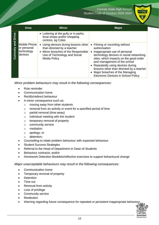

|                    | <b>Area</b>                                          | <b>Minor</b>                                                                                                                                                     | <b>Major</b>                                                                                                                                                                                                                                                                                                                                                             |
|--------------------|------------------------------------------------------|------------------------------------------------------------------------------------------------------------------------------------------------------------------|--------------------------------------------------------------------------------------------------------------------------------------------------------------------------------------------------------------------------------------------------------------------------------------------------------------------------------------------------------------------------|
| <b>Drive</b>       |                                                      | • Loitering at the gully or in parks,<br>local shops and/or shopping<br>centres, eg Coles                                                                        |                                                                                                                                                                                                                                                                                                                                                                          |
| loure<br>Curiosity | Mobile Phone<br>or personal<br>technology<br>devices | • Using devices during lessons other<br>than directed by a teacher<br>• Minor breaches of the Responsible<br>Use of Technology and Social<br><b>Media Policy</b> | Filming or recording without<br>authorisation<br>• Inappropriate use of personal<br>technology devices or social networking<br>sites, which impacts on the good order<br>and management of the school<br>• Repeatedly using devices during<br>lessons other than directed by a teacher<br>• Major breaches of the Managing<br><b>Electronic Devices in School Policy</b> |

*Minor problem behaviours may result in the following consequences:*

- Rule reminder
- Communication home
- Rectify/redirect behaviour
- A minor consequence such as:
	- o moving away from other students
	- o removal from an activity or event for a specified period of time
	- o partial removal (time away)
	- o individual meeting with the student
	- o temporary removal of property
	- o community service
	- o mediation
	- o apology; or
	- o detention;
- Counselling to relate problem behaviour with expected behaviour
- Student Success Strategies
- Referral to the Head of Department or Dean of Students
- Behaviour contracts; and/or
- Homework Detention Booklets/reflective exercises to support behavioural change

*Major unacceptable behaviours may result in the following consequences:*

- Communication home
- Temporary removal of property
- Detention
- Time out
- Removal from activity
- Loss of privilege
- Community service
- **Restitution**
- Warning regarding future consequence for repeated or persistent inappropriate behaviour

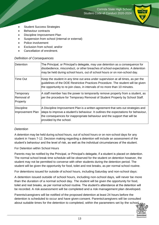

- Student Success Strategies
- Behaviour contracts
- Discipline Improvement Plan
- Suspension from school (internal or external)
- Police involvement
- Exclusion from school; and/or
- Cancellation of enrolment.

#### *Definition of Consequences*

| Detention                           | The Principal, or Principal's delegate, may use detention as a consequence for<br>disobedience, misconduct, or other breaches of school expectations. A detention<br>may be held during school hours, out of school hours or on non-school day.                                  |
|-------------------------------------|----------------------------------------------------------------------------------------------------------------------------------------------------------------------------------------------------------------------------------------------------------------------------------|
| Time Out                            | Keep the student in any time out area under supervision at all times, as per the<br>guidelines of the DOE Restrictive Practices Procedure. The student will be given<br>the opportunity to re-join class, in intervals of no more than 10 minutes.                               |
| Temporary<br>Removal of<br>Property | A staff member has the power to temporarily remove property from a student, as<br>per the procedure for Temporary Removal of Student Property by School Staff.                                                                                                                   |
| Discipline<br>Improvement Plan      | A Discipline Improvement Plan is a written agreement that sets out strategies and<br>steps to improve a student's behaviour. It outlines the expectations for behaviour,<br>the consequences for inappropriate behaviour and the support that will be<br>provided by the school. |

#### *Detention*

A detention may be held during school hours, out of school hours or on non-school days for any student in Years 7-12. Decision making regarding a detention will include an assessment of the student's behaviour and the level of risk, as well as the individual circumstances of the student.

#### For Detention within School Hours

Parents may be notified by the Principal, or Principal's delegate, if a student is placed on detention. The normal school break time schedule will be observed for the student on detention however, the student may not be permitted to converse with other students during the detention period. The student will be given the opportunity for food, toilet and rest breaks, as per normal school routine.

For detentions issued for outside of school hours, including Saturday and non-school days:

A detention issued outside of school hours, including non-school days, will never be more than the duration of a normal school day. The student will be given the opportunity for food, toilet and rest breaks, as per normal school routine. The student's attendance at the detention will be recorded. A risk assessment will be completed and a risk management plan developed.

Parents/caregivers will be notified of the proposed detention at least 24 hours before the detention is scheduled to occur and have given consent. Parents/caregivers will be consulted about suitable times for the detention to completed, within the parameters set by the school.

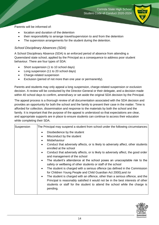

Parents will be informed of:

- location and duration of the detention
- their responsibility to arrange travel/supervision to and from the detention
- The supervision arrangements for the student during the detention.

#### *School Disciplinary Absences (SDA)*

A School Disciplinary Absence (SDA) is an enforced period of absence from attending a Queensland state school, applied by the Principal as a consequence to address poor student behaviour. There are four types of SDA:

- Short suspension (1 to 10 school days)
- Long suspension (11 to 20 school days)
- Charge-related suspension
- Exclusion (period of not more than one year or permanently).

Parents and students may only appeal a long suspension, charge-related suspension or exclusion decision. A review will be conducted by the Director-General or their delegate, and a decision made within 40 school days to confirm, amend/vary or set aside the original SDA decision by the Principal.

The appeal process is a thorough review of all documentation associated with the SDA decision and provides an opportunity for both the school and the family to present their case in the matter. Time is afforded for collection, dissemination and response to the materials by both the school and the family. It is important that the purpose of the appeal is understood so that expectations are clear, and appropriate supports are in place to ensure students can continue to access their education while completing their SDA.

| Suspension | The Principal may suspend a student from school under the following circumstances:                                                                                             |
|------------|--------------------------------------------------------------------------------------------------------------------------------------------------------------------------------|
|            | Disobedience by the student<br>$\bullet$                                                                                                                                       |
|            | Misconduct by the student<br>$\bullet$                                                                                                                                         |
|            | Misbehaviour<br>$\bullet$                                                                                                                                                      |
|            | Conduct that adversely affects, or is likely to adversely affect, other students<br>$\bullet$<br>enrolled at the school                                                        |
|            | Conduct that adversely affects, or is likely to adversely affect, the good order<br>$\bullet$<br>and management of the school                                                  |
|            | The student's attendance at the school poses an unacceptable risk to the<br>$\bullet$<br>safety or wellbeing of other students or staff of the school                          |
|            | The student is charged with a serious offence (as defined in the Commission<br>$\bullet$<br>for Children Young People and Child Guardian Act 2000); and /or                    |
|            | The student is charged with an offence, other than a serious offence, and the<br>$\bullet$<br>Principal is reasonably satisfied it would not be in the best interests of other |
|            | students or staff for the student to attend the school while the charge is<br>pending.                                                                                         |
|            |                                                                                                                                                                                |

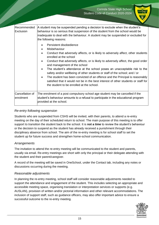

| Recommended<br>Exclusion     | A student may be suspended pending a decision to exclude when the student's<br>behaviour is so serious that suspension of the student from the school would be<br>inadequate to deal with the behaviour. A student may be suspended or excluded for<br>the following reasons:                                                                                                                                                                                                                                                                                                                                                                                                                                                |
|------------------------------|------------------------------------------------------------------------------------------------------------------------------------------------------------------------------------------------------------------------------------------------------------------------------------------------------------------------------------------------------------------------------------------------------------------------------------------------------------------------------------------------------------------------------------------------------------------------------------------------------------------------------------------------------------------------------------------------------------------------------|
|                              | Persistent disobedience<br>$\bullet$<br>Misbehaviour<br>٠<br>Conduct that adversely affects, or is likely to adversely affect, other students<br>$\bullet$<br>enrolled at the school<br>Conduct that adversely affects, or is likely to adversely affect, the good order<br>$\bullet$<br>and management of the school<br>The student's attendance at the school poses an unacceptable risk to the<br>$\bullet$<br>safety and/or wellbeing of other students or staff of the school; and / or<br>The student has been convicted of an offence and the Principal is reasonably<br>$\bullet$<br>satisfied that it would not be in the best interest of other students or staff for<br>the student to be enrolled at the school. |
| Cancellation of<br>enrolment | The enrolment of a post compulsory school age student may be cancelled if the<br>student's behaviour amounts to a refusal to participate in the educational program<br>provided at the school.                                                                                                                                                                                                                                                                                                                                                                                                                                                                                                                               |

#### *Re-entry following suspension*

Students who are suspended from CSHS will be invited, with their parents, to attend a re-entry meeting on the day of their scheduled return to school. The main purpose of this meeting is to offer support to transition the student back to the school. It is **not a time** to review the student's behaviour or the decision to suspend as the student has already received a punishment through their disciplinary absence from school. The aim of the re-entry meeting is for school staff to set the student up for future success and strengthen home-school communication.

#### *Arrangements*

The invitation to attend the re-entry meeting will be communicated to the student and parents, usually via email. Re-entry meetings are short with only the principal or their delegate attending with the student and their parent/caregiver.

A record of the meeting will be saved in OneSchool, under the Contact tab, including any notes or discussions occurring during the meeting.

#### *Reasonable adjustments*

In planning the re-entry meeting, school staff will consider reasonable adjustments needed to support the attendance and engagement of the student. This includes selecting an appropriate and accessible meeting space, organising translation or interpretation services or supports (e.g. AUSLAN), provision of written and/or pictorial information and other relevant accommodations. The inclusion of support staff, such as guidance officers, may also offer important advice to ensure a successful outcome to the re-entry meeting.

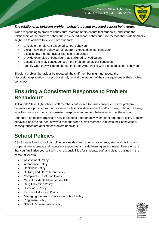

### *The relationship between problem behaviours and expected school behaviours*

When responding to problem behaviours, staff members ensure that students understand the relationship of the problem behaviour to expected school behaviour. One method that staff members might use to achieve this is to have students:

- articulate the relevant expected school behaviour
- explain how their behaviour differs from expected school behaviour
- discuss how their behaviour aligns to lived values
- provide examples of behaviour that is aligned to lived values
- describe the likely consequences if the problem behaviour continues
- identify what they will do to change their behaviour in line with expected school behaviour

Should a problem behaviour be repeated, the staff member might not repeat the discussion/explanation process but simply remind the student of the consequences of their problem behaviour.

# <span id="page-17-0"></span>**Ensuring a Consistent Response to Problem Behaviours**

At Corinda State High School, staff members authorised to issue consequences for problem behaviour are provided with appropriate professional development and/or training. Through training activities, we work to ensure consistent responses to problem behaviour across the school.

Students also receive training in how to respond appropriately when other students display problem behaviour and the courteous way to respond when a staff member re-directs their behaviour or consequences are applied for problem behaviour.

# <span id="page-17-1"></span>**School Policies**

CSHS has tailored school discipline policies designed to ensure students, staff and visitors work cooperatively to create and maintain a supportive and safe learning environment. Please ensure that you familiarise yourself with the responsibilities for students, staff and visitors outlined in the following policies:

- Assessment Policy
- Attendance Policy
- Bookwork Policy
- Bullying and Harassment Policy
- Complaints Resolution Policy
- Critical Incidents Management Plan
- Drug Education Policy
- Homework Policy
- Inclusive Education Policy
- Managing Electronic Devices in School Policy
- Plagiarism Policy
- School Representation Policy

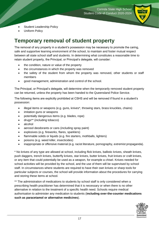

- Student Leadership Policy
- Uniform Policy

# <span id="page-18-0"></span>**Temporary removal of student property**

The removal of any property in a student's possession may be necessary to promote the caring, safe and supportive learning environment of the school, to maintain and foster mutual respect between all state school staff and students. In determining what constitutes a reasonable time to retain student property, the Principal, or Principal's delegate, will consider:

- the condition, nature or value of the property
- the circumstances in which the property was removed
- the safety of the student from whom the property was removed, other students or staff members
- good management, administration and control of the school.

The Principal, or Principal's delegate, will determine when the temporarily removed student property can be returned, unless the property has been handed to the Queensland Police Service.

The following items are explicitly prohibited at CSHS and will be removed if found in a student's possession:

- illegal items or weapons (e.g. guns, knives\*, throwing stars, brass knuckles, chains)
- imitation guns or weapons
- potentially dangerous items (e.g. blades, rope)
- drugs\*\* (including tobacco)
- alcohol
- aerosol deodorants or cans (including spray paint)
- explosives (e.g. fireworks, flares, sparklers)
- flammable solids or liquids (e.g. fire starters, mothballs, lighters)
- poisons (e.g. weed killer, insecticides)
- inappropriate or offensive material (e.g. racist literature, pornography, extremist propaganda).

\* No knives of any type are allowed at school, including flick knives, ballistic knives, sheath knives, push daggers, trench knives, butterfly knives, star knives, butter knives, fruit knives or craft knives, or any item that could potentially be used as a weapon, for example a chisel. Knives needed for school activities will be provided by the school, and the use of them will be supervised by school staff. In circumstances where students are required to have their own knives or sharp tools for particular subjects or courses, the school will provide information about the procedures for carrying and storing these items at school.

\*\* The administration of medications to students by school staff is only considered when a prescribing health practitioner has determined that it is necessary or when there is no other alternative in relation to the treatment of a specific health need. Schools require medical authorisation to administer any medication to students (**including over-the-counter medications such as paracetamol or alternative medicines**).

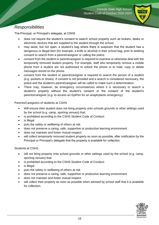

### <span id="page-19-0"></span>*Responsibilities*

The Principal, or Principal's delegate, at CSHS

- does not require the student's consent to search school property such as lockers, desks or electronic devices that are supplied to the student through the school.
- may seize, but not open, a student's bag where there is suspicion that the student has a dangerous or illegal item (for example, a knife or alcohol) in their school bag, prior to seeking consent to search from a parent/caregiver or calling the police.
- consent from the student or parent/caregiver is required to examine or otherwise deal with the temporarily removed student property. For example, staff who temporarily remove a mobile phone from a student are not authorised to unlock the phone or to read, copy or delete messages stored on the phone.
- consent from the student or parent/caregiver is required to search the person of a student (e.g. pockets or shoes). If consent is not provided and a search is considered necessary, the police and the student's parent/caregiver will be called to make such a determination.
- There may, however, be emergency circumstances where it is necessary to search a student's property without the student's consent or the consent of the student's parents/caregiver (e.g. to access an EpiPen for an anaphylactic emergency).

Parents/Caregivers of students at CSHS

- Will ensure their student does not bring property onto schools grounds or other settings used by the school (e.g. camp, sporting venues) that:
- is prohibited according to the CSHS Student Code of Conduct
- is illegal
- puts the safety or wellbeing of others at risk
- does not preserve a caring, safe, supportive or productive learning environment
- does not maintain and foster mutual respect;
- will collect temporarily removed student property as soon as possible, after notification by the Principal or Principal's delegate that the property is available for collection.

#### Students at CSHS

- will not bring property onto school grounds or other settings used by the school (e.g. camp, sporting venues) that:
- is prohibited according to the CSHS Student Code of Conduct
- is illegal
- puts the safety or wellbeing of others at risk
- does not preserve a caring, safe, supportive or productive learning environment
- does not maintain and foster mutual respect
- will collect their property as soon as possible when advised by school staff that it is available for collection.

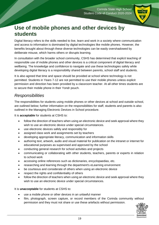

# <span id="page-20-0"></span>**Use of mobile phones and other devices by students**

Digital literacy refers to the skills needed to live, learn and work in a society where communication and access to information is dominated by digital technologies like mobile phones. However, the benefits brought about through these diverse technologies can be easily overshadowed by deliberate misuse, which harms others or disrupts learning.

In consultation with the broader school community, CSHS has determined that explicit teaching of responsible use of mobile phones and other devices is a critical component of digital literacy and wellbeing. The knowledge and confidence to navigate and use these technologies safely while developing digital literacy is a responsibility shared between parents, school staff and students.

It is also agreed that time and space should be provided at school where technology is not permitted. Students in Years 7-12 are not permitted to use their mobile phones unless explicit permission and direction has been provided by a classroom teacher. At all other times students are to secure their mobile phone in their Yondr pouch.

### <span id="page-20-1"></span>*Responsibilities*

The responsibilities for students using mobile phones or other devices at school and outside school, are outlined below; further information on the responsibilities for staff, students and parents is also outlined in the Managing Electronic Devices in School procedure.

It is **acceptable** for students at CSHS to:

- follow the direction of teachers when using an electronic device and seek approval where they wish to use an electronic device under special circumstances.
- use electronic devices safely and responsibly for
- assigned class work and assignments set by teachers
- developing appropriate literacy, communication and information skills
- authoring text, artwork, audio and visual material for publication on the intranet or internet for educational purposes as supervised and approved by the school
- conducting general research for school activities and projects
- communicating or collaborating with other students, teachers, parents or experts in relation to school work
- accessing online references such as dictionaries, encyclopaedias, etc.
- researching and learning through the department's eLearning environment
- be courteous and considerate of others when using an electronic device
- respect the rights and confidentiality of others
- follow the direction of teachers when using an electronic device and seek approval where they wish to use an electronic device under special circumstances.

It is **unacceptable** for students at CSHS to:

- use a mobile phone or other devices in an unlawful manner
- film, photograph, screen capture, or record members of the Corinda community without permission and they must not share or use these artefacts without permission.

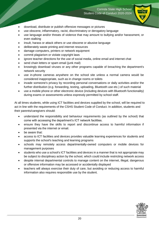

- download, distribute or publish offensive messages or pictures
- use obscene, inflammatory, racist, discriminatory or derogatory language
- use language and/or threats of violence that may amount to bullying and/or harassment, or even stalking
- insult, harass or attack others or use obscene or abusive language
- deliberately waste printing and internet resources
- damage computers, printers or network equipment
- commit plagiarism or violate copyright laws
- ignore teacher directions for the use of social media, online email and internet chat
- send chain letters or spam email (junk mail)
- knowingly download viruses or any other programs capable of breaching the department's network security
- use in-phone cameras anywhere on the school site unless a normal camera would be considered inappropriate, such as in change rooms or toilets
- invade someone's privacy by recording personal conversations or daily activities and/or the further distribution (e.g. forwarding, texting, uploading, Bluetooth use etc.) of such material
- use a mobile phone or other electronic device (including devices with Bluetooth functionality) during exams or assessments unless expressly permitted by school staff.

At all times students, while using ICT facilities and devices supplied by the school, will be required to act in line with the requirements of the CSHS Student Code of Conduct. In addition, students and their parents/caregivers should:

- understand the responsibility and behaviour requirements (as outlined by the school) that come with accessing the department's ICT network facilities.
- ensure they have the skills to report and discontinue access to harmful information if presented via the internet or email.
- be aware that:
- access to ICT facilities and devices provides valuable learning experiences for students and supports the school's teaching and learning programs
- schools may remotely access departmentally-owned computers or mobile devices for management purposes
- students who use a school's ICT facilities and devices in a manner that is not appropriate may be subject to disciplinary action by the school, which could include restricting network access
- despite internal departmental controls to manage content on the internet, illegal, dangerous or offensive information may be accessed or accidentally displayed
- teachers will always exercise their duty of care, but avoiding or reducing access to harmful information also requires responsible use by the student.

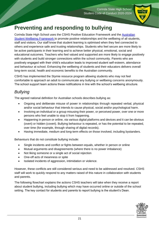

# <span id="page-22-0"></span>**Preventing and responding to bullying**

Corinda State High School uses the CSHS Positive Education Framework and the [Australian](https://studentwellbeinghub.edu.au/resources/detail?id=dd6b5222-d5c5-6d32-997d-ff0000a69c30) [Student Wellbeing Framework](https://studentwellbeinghub.edu.au/resources/detail?id=dd6b5222-d5c5-6d32-997d-ff0000a69c30) to promote positive relationships and the wellbeing of all students, staff and visitors. Our staff know that student learning is optimised when they feel connected to others and experience safe and trusting relationships. Students who feel secure are more likely to be active participants in their learning and to achieve better physical, emotional, social and educational outcomes. Teachers who feel valued and supported are more likely to engage positively with students and build stronger connections within the school community. Parents who are positively engaged with their child's education leads to improved student self-esteem, attendance and behaviour at school. Enhancing the wellbeing of students and their educators delivers overall long-term social, health and economic benefits to the Australian community.

CSHS has implemented the Stymie resource program allowing students who may not feel comfortable to approach an adult to communicate any bullying or wellbeing concerns anonymously. The school support team actions these notifications in line with the school's wellbeing structure.

### <span id="page-22-1"></span>*Bullying*

The agreed national definition for Australian schools describes bullying as:

- Ongoing and deliberate misuse of power in relationships through repeated verbal, physical and/or social behaviour that intends to cause physical, social and/or psychological harm.
- Involving an individual or a group misusing their power, or perceived power, over one or more persons who feel unable to stop it from happening.
- Happening in person or online, via various digital platforms and devices and it can be obvious (overt) or hidden (covert). Bullying behaviour is repeated, or has the potential to be repeated, over time (for example, through sharing of digital records).
- Having immediate, medium and long-term effects on those involved, including bystanders.

Behaviours that do not constitute bullying include:

- Single incidents and conflict or fights between equals, whether in person or online
- Mutual arguments and disagreements (where there is no power imbalance)
- Not liking someone or a single act of social rejection
- One-off acts of meanness or spite
- Isolated incidents of aggression, intimidation or violence.

However, these conflicts are still considered serious and need to be addressed and resolved. CSHS staff will work to quickly respond to any matters raised of this nature in collaboration with students and parents.

The following flowchart explains the actions CSHS teachers will take when they receive a report about student bullying, including bullying which may have occurred online or outside of the school setting. The key contact for students and parents to report bullying is the student's Dean.

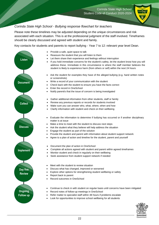#### *Corinda State High School - Bullying response flowchart for teachers*

Please note these timelines may be adjusted depending on the unique circumstances and risk associated with each situation. This is at the professional judgment of the staff involved. Timeframes should be clearly discussed and agreed with student and family.

Key contacts for students and parents to report bullying - Year 7 to 12: relevant year level Dean.



- Provide a safe, quiet space to talk
- Reassure the student that you will listen to them
- Let them share their experience and feelings without interruption
- If you hold immediate concerns for the student's safety, let the student know how you will address these. Immediate in this circumstance is where the staff member believes the student is likely to experience harm (from others or self) within the next 24 hours
- Ask the student for examples they have of the alleged bullying (e.g. hand written notes or screenshots)
- Write a record of your communication with the student
- Check back with the student to ensure you have the facts correct
- Enter the record in OneSchool
	- Notify parent/s that the issue of concern is being investigated
	- Gather additional information from other students, staff or family
	- Review any previous reports or records for students involved
- Make sure you can answer who, what, where, when and how
- Clarify information with student and check on their wellbeing
- Evaluate the information to determine if bullying has occurred or if another disciplinary matter is at issue
- Make a time to meet with the student to discuss next steps
- Ask the student what they believe will help address the situation
- Engage the student as part of the solution
- Provide the student and parent with information about student support network
- Agree to a plan of action and timeline for the student, parent and yourself
- Document the plan of action in OneSchool
- Complete all actions agreed with student and parent within agreed timeframes
- Monitor student and check in regularly on their wellbeing
- Seek assistance from student support network if needed
- Meet with the student to review situation
- Discuss what has changed, improved or worsened
- Explore other options for strengthening student wellbeing or safety
- Report back to parent
- Record outcomes in OneSchool
- Continue to check in with student on regular basis until concerns have been mitigated
- Record notes of follow-up meetings in OneSchool
- Refer matter to specialist staff within 48 hours if problems escalate
- Look for opportunities to improve school wellbeing for all students

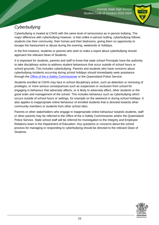

# <span id="page-24-0"></span>*Cyberbullying*

Cyberbullying is treated at CSHS with the same level of seriousness as in-person bullying. The major difference with cyberbullying however, is that unlike in-person bulling, cyberbullying follows students into their community, their homes and their bedrooms, giving them no opportunity to escape the harassment or abuse during the evening, weekends or holidays.

In the first instance, students or parents who wish to make a report about cyberbullying should approach the relevant Dean of Students.

It is important for students, parents and staff to know that state school Principals have the authority to take disciplinary action to address student behaviours that occur outside of school hours or school grounds. This includes cyberbullying. Parents and students who have concerns about cyberbullying incidents occurring during school holidays should immediately seek assistance through the **Office of the e-Safety Commissioner** or the Queensland Police Service.

Students enrolled at CSHS may face in-school disciplinary action, such as detention or removing of privileges, or more serious consequences such as suspension or exclusion from school for engaging in behaviour that adversely affects, or is likely to adversely affect, other students or the good order and management of the school. This includes behaviour such as cyberbullying which occurs outside of school hours or settings, for example on the weekend or during school holidays. It also applies to inappropriate online behaviour of enrolled students that is directed towards other community members or students from other school sites.

Parents or other stakeholders who engage in inappropriate online behaviour towards students, staff or other parents may be referred to the Office of the e-Safety Commissioner and/or the Queensland Police Service. State school staff will be referred for investigation to the Integrity and Employee Relations team in the Department of Education. Any questions or concerns about the school process for managing or responding to cyberbullying should be directed to the relevant Dean of Students.

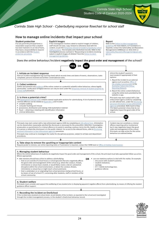

### *Corinda State High School - Cyberbullying response flowchart for school staff*

#### How to manage online incidents that impact your school

#### **Student protection**

If at any point the principal forms a reasonable suspicion that a student has been harmed or is at risk of harm. they have a responsibility to respond In accordance with the Student protection procedure.

#### **Explicit images**

If the investigation involves naked or explicit images of children. staff should not save, copy, forward or otherwise deal with the content, as per the Temp ary removal of student propstaff procedure. This includes onto OneSchool records. Refer to the investigative process outlined in "Responding to incidents involving naked or explicit images of children' from the Online Incident management guidelines.

#### Report

Refer to the Online incident management guidelines for more details, or if assistance is quired, contact the Cybersafety and Reputation Management (CSRM)team on 3034 5035 or Cybersafety, ReputationManagement@ged.gld. gov. au.

#### Does the online behaviour/incident negatively impact the good order and management of the school?



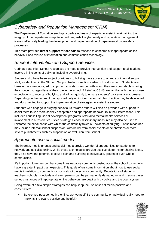

# <span id="page-26-0"></span>*Cybersafety and Reputation Management (CRM)*

The Department of Education employs a dedicated team of experts to assist in maintaining the integrity of the department's reputation with regards to cybersafety and reputation management issues, effectively leading the development and implementation of departmental cybersafety processes.

This team provides **direct support for schools** to respond to concerns of inappropriate online behaviour and misuse of information and communication technology.

## <span id="page-26-1"></span>*Student Intervention and Support Services*

Corinda State High School recognises the need to provide intervention and support to all students involved in incidents of bullying, including cyberbullying.

Students who have been subject or witness to bullying have access to a range of internal support staff, as identified in the Student Support Network section earlier in this document. Students are, however, also encouraged to approach any staff member with whom they feel comfortable sharing their concerns, regardless of their role in the school. All staff at CSHS are familiar with the response expectations to reports of bullying, and will act quickly to ensure students' concerns are addressed. Depending on the nature of the reported bullying incident, a formal plan of action may be developed and documented to support the implementation of strategies to assist the student.

Students who engage in bullying behaviours towards others will also be provided with support to assist them to use more socially acceptable and appropriate behaviours in their interactions. This includes counselling, social development programs, referral to mental health services or involvement in a restorative justice strategy. School disciplinary measures may also be used to reinforce the seriousness with which the community takes all incidents of bullying. These measures may include internal school suspension, withdrawal from social events or celebrations or more severe punishments such as suspension or exclusion from school.

### <span id="page-26-2"></span>*Appropriate use of social media*

The internet, mobile phones and social media provide wonderful opportunities for students to network and socialise online. While these technologies provide positive platforms for sharing ideas, they also have the potential to cause pain and suffering to individuals, groups or even whole communities.

It's important to remember that sometimes negative comments posted about the school community have a greater impact than expected. This guide offers some information about how to use social media in relation to comments or posts about the school community. Reputations of students, teachers, schools, principals and even parents can be permanently damaged — and in some cases, serious instances of inappropriate online behaviour are dealt with by police and the court system.

Being aware of a few simple strategies can help keep the use of social media positive and constructive:

 Before you post something online, ask yourself if the community or individual really need to know. Is it relevant, positive and helpful?

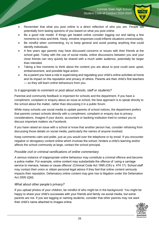

- Remember that what you post online is a direct reflection of who you are. People will potentially form lasting opinions of you based on what you post online.
- Be a good role model. If things get heated online consider logging out and taking a few moments to relax and think. Hasty, emotive responses could inflame situations unnecessarily.
- Be mindful when commenting, try to keep general and avoid posting anything that could identify individuals.
- A few years ago parents may have discussed concerns or issues with their friends at the school gate. Today with the use of social media, online discussions between you and your close friends can very quickly be shared with a much wider audience, potentially far larger than intended.
- Taking a few moments to think about the content you are about to post could save upset, embarrassment, and possible legal action.
- As a parent you have a role in supervising and regulating your child's online activities at home and its impact on the reputation and privacy of others. Parents are their child's first teachers — so they will learn online behaviours from you.

#### *Is it appropriate to comment or post about schools, staff or students?*

Parental and community feedback is important for schools and the department. If you have a compliment, complaint or enquiry about an issue at school, the best approach is to speak directly to the school about the matter, rather than discussing it in a public forum.

While many schools use social media to update parents of school notices, the department prefers that parents contact schools directly with a compliment, complaint or enquiry due to privacy considerations. Imagine if your doctor, accountant or banking institution tried to contact you to discuss important matters via Facebook.

If you have raised an issue with a school or know that another person has, consider refraining from discussing those details on social media, particularly the names of anyone involved.

Keep comments calm and polite, just as you would over the telephone or by email. If you encounter negative or derogatory content online which involves the school, hinders a child's learning and/or affects the school community at large, contact the school principal.

#### *Possible civil or criminal ramifications of online commentary*

A serious instance of inappropriate online behaviour may constitute a criminal offence and become a police matter. For example, online content may substantiate the offence of 'using a carriage service to menace, harass or cause offence' (Criminal Code Act 1995 (Cth) s. 474.17). School staff may contact their union or obtain personal legal advice if they feel that online content seriously impacts their reputation. Defamatory online content may give rise to litigation under the Defamation Act 2005 (Qld).

#### *What about other people's privacy?*

If you upload photos of your children, be mindful of who might be in the background. You might be happy to share your child's successes with your friends and family via social media, but some parents are not. If you are tagging or naming students, consider that other parents may not want their child's name attached to images online.

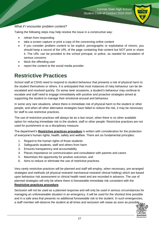

#### *What if I encounter problem content?*

Taking the following steps may help resolve the issue in a constructive way:

- refrain from responding
- take a screen capture or print a copy of the concerning online content
- if you consider problem content to be explicit, pornographic or exploitative of minors, you should keep a record of the URL of the page containing that content but NOT print or share it. The URL can be provided to the school principal, or police, as needed for escalation of serious concerns
- block the offending user
- report the content to the social media provider.

# <span id="page-28-0"></span>**Restrictive Practices**

School staff at CSHS need to respond to student behaviour that presents a risk of physical harm to the student themselves or others. It is anticipated that most instances of risky behaviour can be deescalated and resolved quickly. On some rarer occasions, a student's behaviour may continue to escalate and staff need to engage immediately with positive and proactive strategies aimed at supporting the student to manage their emotional arousal and behaviour.

In some very rare situations, where there is immediate risk of physical harm to the student or other people, and when all other alternative strategies have failed to reduce the risk, it may be necessary for staff to use restrictive practices.

The use of restrictive practices will always be as a last resort, when there is no other available option for reducing immediate risk to the student, staff or other people. Restrictive practices are not used for punishment or as a disciplinary measure.

The department's **Restrictive practices procedure** is written with consideration for the protection of everyone's human rights, health, safety and welfare. There are six fundamental principles:

- 1. Regard to the human rights of those students
- 2. Safeguards students, staff and others from harm
- 3. Ensures transparency and accountability
- 4. Places importance on communication and consultation with parents and carers
- 5. Maximises the opportunity for positive outcomes, and
- 6. Aims to reduce or eliminate the use of restrictive practices.

Very rarely restrictive practices will be planned and staff will employ, when necessary, pre-arranged strategies and methods (of physical restraint/ mechanical restraint/ clinical holding) which are based upon behaviour risk assessment or clinical health need and are recorded in advance. The use of planned strategies will only be where there is foreseeable immediate risk consistent with the **Restrictive practices procedure**.

Seclusion will not be used as a planned response and will only be used in serious circumstances for managing an unforeseeable situation in an emergency. It will be used for the shortest time possible and in a safe area that presents no additional foreseeable risk to the student. In such emergencies, a staff member will observe the student at all times and seclusion will cease as soon as possible.

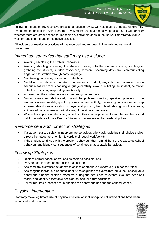

Following the use of any restrictive practice, a focused review will help staff to understand how they responded to the risk in any incident that involved the use of a restrictive practice. Staff will consider whether there are other options for managing a similar situation in the future. This strategy works well for reducing the use of restrictive practices.

All incidents of restrictive practices will be recorded and reported in line with departmental procedures.

### <span id="page-29-0"></span>*Immediate strategies that staff may use include:*

- Avoiding escalating the problem behaviour
- Avoiding shouting, cornering the student, moving into the student's space, touching or grabbing the student, sudden responses, sarcasm, becoming defensive, communicating anger and frustration through body language
- Maintaining calmness, respect and detachment
- Modelling the behaviour that staff want students to adopt, stay calm and controlled, use a serious measured tone, choosing language carefully, avoid humiliating the student, be matter of fact and avoiding responding emotionally
- Approaching the student in a non-threatening manner; and
- Moving slowly and deliberately toward the problem situation, speaking privately to the student/s where possible, speaking calmly and respectfully, minimising body language, keep a reasonable distance, establishing eye level position, being brief, staying with the agenda, acknowledging cooperation, withdrawing if the situation escalates
- Where this impacts on the safety of self or others under potential threat, the teacher should call for assistance from a Dean of Students or members of the Leadership Team.

### <span id="page-29-1"></span>*Reinforcement and correction strategies*

- If a student starts displaying inappropriate behaviour, briefly acknowledge their choice and redirect other students' attention towards their usual work/activity.
- If the student continues with the problem behaviour, then remind them of the expected school behaviour and identify consequences of continued unacceptable behaviour.

### <span id="page-29-2"></span>*Follow up Strategies*

- Restore normal school operations as soon as possible; and
- Provide post-incident opportunities that include:
- Assisting any distressed student/s to access appropriate support, e.g. Guidance Officer
- Assisting the individual student to identify the sequence of events that led to the unacceptable behaviour, pinpoint decision moments during the sequence of events, evaluate decisions made, and identify acceptable decision options for future situations
- Follow required processes for managing the behaviour incident and consequences.

### <span id="page-29-3"></span>*Physical Intervention*

Staff may make legitimate use of physical intervention if all non-physical interventions have been exhausted and a student is:

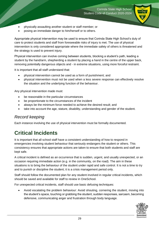- physically assaulting another student or staff member; or
- posing an immediate danger to him/herself or to others.

Appropriate physical intervention may be used to ensure that Corinda State High School's duty of care to protect students and staff from foreseeable risks of injury is met. The use of physical intervention is only considered appropriate where the immediate safety of others is threatened and the strategy is used to prevent injury.

Physical intervention can involve coming between students, blocking a student's path, leading a student by the hand/arm, shepherding a student by placing a hand in the centre of the upper back, removing potentially dangerous objects and - in extreme situations, using more forceful restraint.

It is important that all staff understand that:

- physical intervention cannot be used as a form of punishment; and
- physical intervention must not be used when a less severe response can effectively resolve the situation and the underlying function of the behaviour.

Any physical intervention made must:

- be reasonable in the particular circumstances
- be proportionate to the circumstances of the incident
- always be the minimum force needed to achieve the desired result; and
- take into account the age, stature, disability, understanding and gender of the student.

### <span id="page-30-0"></span>*Record keeping*

Each instance involving the use of physical intervention must be formally documented.

# <span id="page-30-1"></span>**Critical Incidents**

It is important that all school staff have a consistent understanding of how to respond in emergencies involving student behaviour that seriously endangers the student or others. This consistency ensures that appropriate actions are taken to ensure that both students and staff are kept safe.

A critical incident is defined as an occurrence that is sudden, urgent, and usually unexpected, or an occasion requiring immediate action (e.g. in the community, on the road). The aim in these situations is to bring the behaviour of the student under rapid and safe control. It is not a time to try and to punish or discipline the student; it is a crisis management period only.

Staff should follow the documented plan for any student involved in regular critical incidents, which should be saved and available for staff to review in OneSchool.

For unexpected critical incidents, staff should use basic defusing techniques:

 Avoid escalating the problem behaviour: Avoid shouting, cornering the student, moving into the student's space, touching or grabbing the student, sudden responses, sarcasm, becoming defensive, communicating anger and frustration through body language.